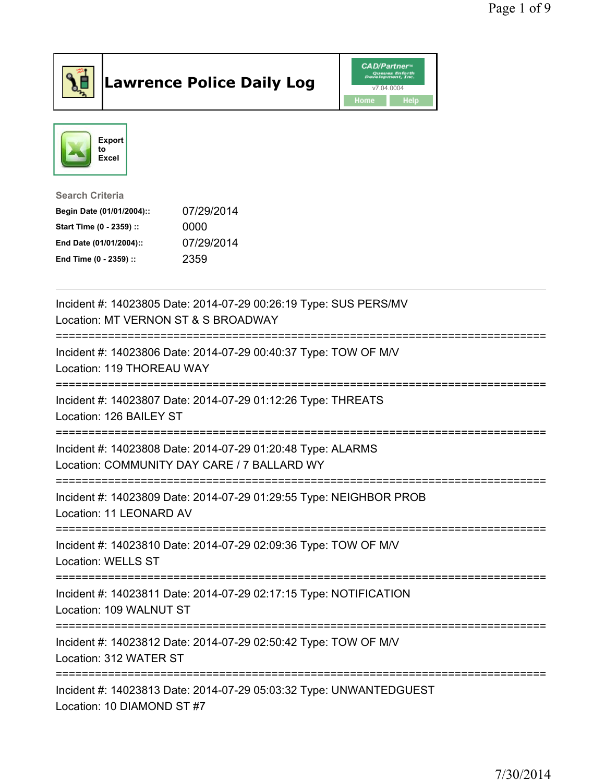

## Lawrence Police Daily Log **Daniel CAD/Partner**





Search Criteria Begin Date (01/01/2004):: 07/29/2014 Start Time (0 - 2359) :: 0000 End Date (01/01/2004):: 07/29/2014 End Time (0 - 2359) :: 2359

| Incident #: 14023805 Date: 2014-07-29 00:26:19 Type: SUS PERS/MV<br>Location: MT VERNON ST & S BROADWAY    |
|------------------------------------------------------------------------------------------------------------|
| Incident #: 14023806 Date: 2014-07-29 00:40:37 Type: TOW OF M/V<br>Location: 119 THOREAU WAY               |
| Incident #: 14023807 Date: 2014-07-29 01:12:26 Type: THREATS<br>Location: 126 BAILEY ST                    |
| Incident #: 14023808 Date: 2014-07-29 01:20:48 Type: ALARMS<br>Location: COMMUNITY DAY CARE / 7 BALLARD WY |
| Incident #: 14023809 Date: 2014-07-29 01:29:55 Type: NEIGHBOR PROB<br>Location: 11 LEONARD AV              |
| Incident #: 14023810 Date: 2014-07-29 02:09:36 Type: TOW OF M/V<br><b>Location: WELLS ST</b>               |
| Incident #: 14023811 Date: 2014-07-29 02:17:15 Type: NOTIFICATION<br>Location: 109 WALNUT ST               |
| Incident #: 14023812 Date: 2014-07-29 02:50:42 Type: TOW OF M/V<br>Location: 312 WATER ST                  |
| Incident #: 14023813 Date: 2014-07-29 05:03:32 Type: UNWANTEDGUEST<br>Location: 10 DIAMOND ST #7           |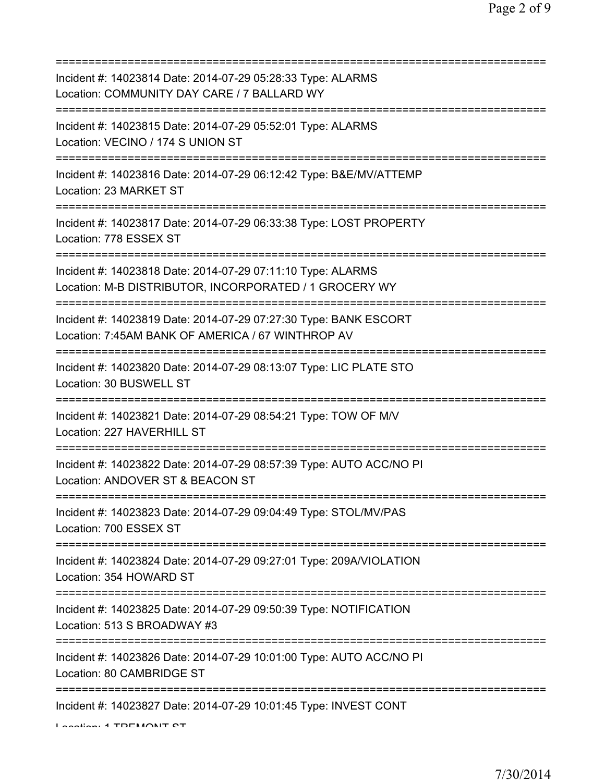| Incident #: 14023814 Date: 2014-07-29 05:28:33 Type: ALARMS<br>Location: COMMUNITY DAY CARE / 7 BALLARD WY                                       |
|--------------------------------------------------------------------------------------------------------------------------------------------------|
| Incident #: 14023815 Date: 2014-07-29 05:52:01 Type: ALARMS<br>Location: VECINO / 174 S UNION ST<br>;==========================                  |
| Incident #: 14023816 Date: 2014-07-29 06:12:42 Type: B&E/MV/ATTEMP<br>Location: 23 MARKET ST                                                     |
| Incident #: 14023817 Date: 2014-07-29 06:33:38 Type: LOST PROPERTY<br>Location: 778 ESSEX ST                                                     |
| Incident #: 14023818 Date: 2014-07-29 07:11:10 Type: ALARMS<br>Location: M-B DISTRIBUTOR, INCORPORATED / 1 GROCERY WY                            |
| Incident #: 14023819 Date: 2014-07-29 07:27:30 Type: BANK ESCORT<br>Location: 7:45AM BANK OF AMERICA / 67 WINTHROP AV<br>======================= |
| Incident #: 14023820 Date: 2014-07-29 08:13:07 Type: LIC PLATE STO<br>Location: 30 BUSWELL ST                                                    |
| Incident #: 14023821 Date: 2014-07-29 08:54:21 Type: TOW OF M/V<br>Location: 227 HAVERHILL ST                                                    |
| Incident #: 14023822 Date: 2014-07-29 08:57:39 Type: AUTO ACC/NO PI<br>Location: ANDOVER ST & BEACON ST                                          |
| Incident #: 14023823 Date: 2014-07-29 09:04:49 Type: STOL/MV/PAS<br>Location: 700 ESSEX ST                                                       |
| Incident #: 14023824 Date: 2014-07-29 09:27:01 Type: 209A/VIOLATION<br>Location: 354 HOWARD ST                                                   |
| Incident #: 14023825 Date: 2014-07-29 09:50:39 Type: NOTIFICATION<br>Location: 513 S BROADWAY #3                                                 |
| =====================<br>Incident #: 14023826 Date: 2014-07-29 10:01:00 Type: AUTO ACC/NO PI<br>Location: 80 CAMBRIDGE ST                        |
| Incident #: 14023827 Date: 2014-07-29 10:01:45 Type: INVEST CONT<br>Lootion: 4 TDEMONIT CT                                                       |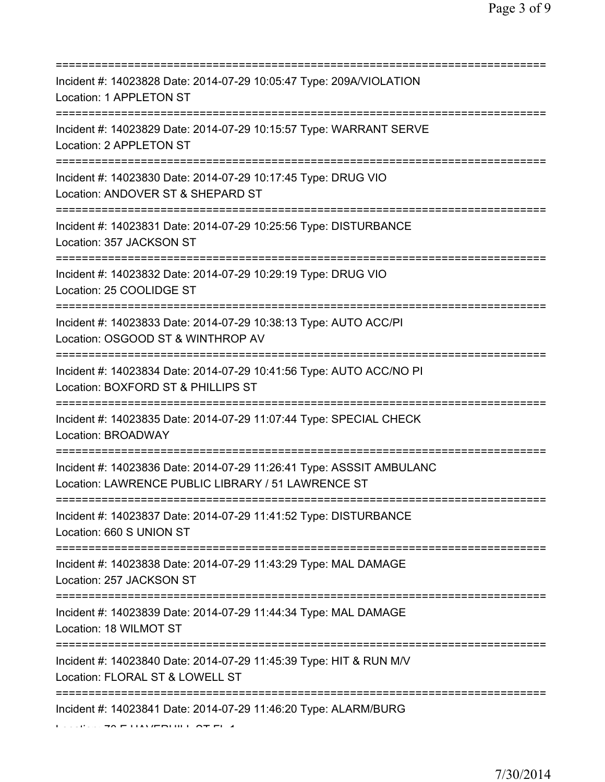| Incident #: 14023828 Date: 2014-07-29 10:05:47 Type: 209A/VIOLATION<br>Location: 1 APPLETON ST<br>===================                         |
|-----------------------------------------------------------------------------------------------------------------------------------------------|
| Incident #: 14023829 Date: 2014-07-29 10:15:57 Type: WARRANT SERVE<br>Location: 2 APPLETON ST                                                 |
| Incident #: 14023830 Date: 2014-07-29 10:17:45 Type: DRUG VIO<br>Location: ANDOVER ST & SHEPARD ST<br>==========================              |
| Incident #: 14023831 Date: 2014-07-29 10:25:56 Type: DISTURBANCE<br>Location: 357 JACKSON ST                                                  |
| Incident #: 14023832 Date: 2014-07-29 10:29:19 Type: DRUG VIO<br>Location: 25 COOLIDGE ST<br>====================================             |
| Incident #: 14023833 Date: 2014-07-29 10:38:13 Type: AUTO ACC/PI<br>Location: OSGOOD ST & WINTHROP AV<br>==================================== |
| Incident #: 14023834 Date: 2014-07-29 10:41:56 Type: AUTO ACC/NO PI<br>Location: BOXFORD ST & PHILLIPS ST                                     |
| Incident #: 14023835 Date: 2014-07-29 11:07:44 Type: SPECIAL CHECK<br>Location: BROADWAY                                                      |
| Incident #: 14023836 Date: 2014-07-29 11:26:41 Type: ASSSIT AMBULANC<br>Location: LAWRENCE PUBLIC LIBRARY / 51 LAWRENCE ST                    |
| Incident #: 14023837 Date: 2014-07-29 11:41:52 Type: DISTURBANCE<br>Location: 660 S UNION ST                                                  |
| Incident #: 14023838 Date: 2014-07-29 11:43:29 Type: MAL DAMAGE<br>Location: 257 JACKSON ST                                                   |
| Incident #: 14023839 Date: 2014-07-29 11:44:34 Type: MAL DAMAGE<br>Location: 18 WILMOT ST                                                     |
| Incident #: 14023840 Date: 2014-07-29 11:45:39 Type: HIT & RUN M/V<br>Location: FLORAL ST & LOWELL ST                                         |
| :=================<br>Incident #: 14023841 Date: 2014-07-29 11:46:20 Type: ALARM/BURG                                                         |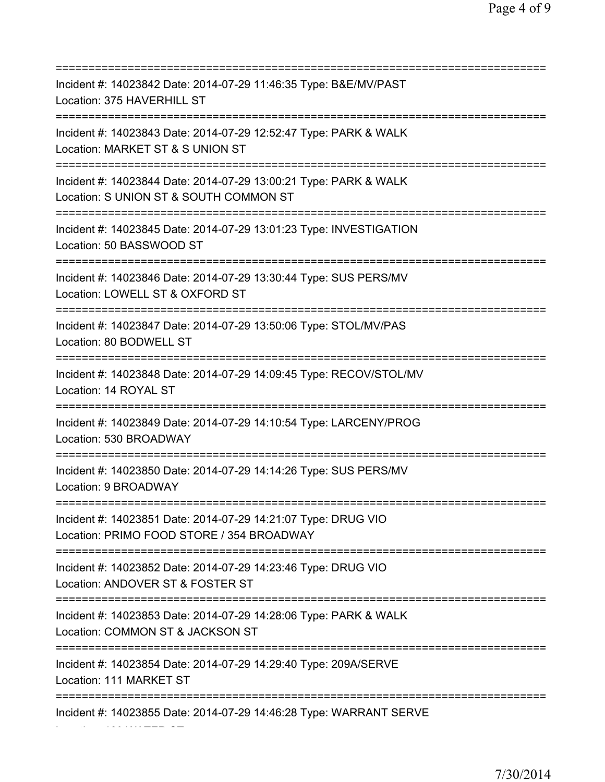| Incident #: 14023842 Date: 2014-07-29 11:46:35 Type: B&E/MV/PAST<br>Location: 375 HAVERHILL ST                                          |
|-----------------------------------------------------------------------------------------------------------------------------------------|
| Incident #: 14023843 Date: 2014-07-29 12:52:47 Type: PARK & WALK<br>Location: MARKET ST & S UNION ST<br>--------------------------      |
| Incident #: 14023844 Date: 2014-07-29 13:00:21 Type: PARK & WALK<br>Location: S UNION ST & SOUTH COMMON ST                              |
| Incident #: 14023845 Date: 2014-07-29 13:01:23 Type: INVESTIGATION<br>Location: 50 BASSWOOD ST<br>===================================== |
| Incident #: 14023846 Date: 2014-07-29 13:30:44 Type: SUS PERS/MV<br>Location: LOWELL ST & OXFORD ST<br>====================             |
| Incident #: 14023847 Date: 2014-07-29 13:50:06 Type: STOL/MV/PAS<br>Location: 80 BODWELL ST                                             |
| Incident #: 14023848 Date: 2014-07-29 14:09:45 Type: RECOV/STOL/MV<br>Location: 14 ROYAL ST                                             |
| Incident #: 14023849 Date: 2014-07-29 14:10:54 Type: LARCENY/PROG<br>Location: 530 BROADWAY                                             |
| Incident #: 14023850 Date: 2014-07-29 14:14:26 Type: SUS PERS/MV<br>Location: 9 BROADWAY                                                |
| Incident #: 14023851 Date: 2014-07-29 14:21:07 Type: DRUG VIO<br>Location: PRIMO FOOD STORE / 354 BROADWAY                              |
| Incident #: 14023852 Date: 2014-07-29 14:23:46 Type: DRUG VIO<br>Location: ANDOVER ST & FOSTER ST<br>==========================         |
| Incident #: 14023853 Date: 2014-07-29 14:28:06 Type: PARK & WALK<br>Location: COMMON ST & JACKSON ST                                    |
| ================<br>Incident #: 14023854 Date: 2014-07-29 14:29:40 Type: 209A/SERVE<br>Location: 111 MARKET ST                          |
| Incident #: 14023855 Date: 2014-07-29 14:46:28 Type: WARRANT SERVE                                                                      |

Location: 129 WATER ST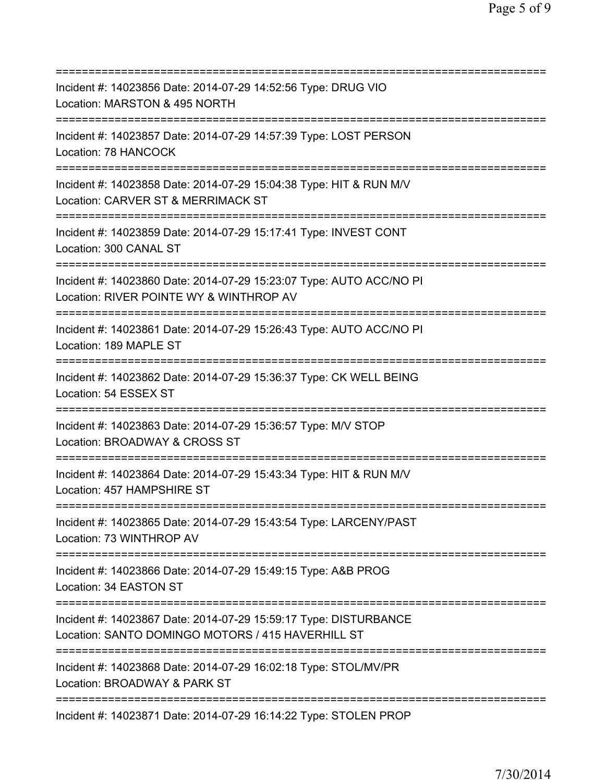| Incident #: 14023856 Date: 2014-07-29 14:52:56 Type: DRUG VIO<br>Location: MARSTON & 495 NORTH                                                   |
|--------------------------------------------------------------------------------------------------------------------------------------------------|
| =====================<br>Incident #: 14023857 Date: 2014-07-29 14:57:39 Type: LOST PERSON<br>Location: 78 HANCOCK                                |
| Incident #: 14023858 Date: 2014-07-29 15:04:38 Type: HIT & RUN M/V<br>Location: CARVER ST & MERRIMACK ST<br>==================================== |
| Incident #: 14023859 Date: 2014-07-29 15:17:41 Type: INVEST CONT<br>Location: 300 CANAL ST<br>====================================               |
| Incident #: 14023860 Date: 2014-07-29 15:23:07 Type: AUTO ACC/NO PI<br>Location: RIVER POINTE WY & WINTHROP AV<br>=====================          |
| Incident #: 14023861 Date: 2014-07-29 15:26:43 Type: AUTO ACC/NO PI<br>Location: 189 MAPLE ST                                                    |
| Incident #: 14023862 Date: 2014-07-29 15:36:37 Type: CK WELL BEING<br>Location: 54 ESSEX ST<br>==================                                |
| Incident #: 14023863 Date: 2014-07-29 15:36:57 Type: M/V STOP<br>Location: BROADWAY & CROSS ST                                                   |
| Incident #: 14023864 Date: 2014-07-29 15:43:34 Type: HIT & RUN M/V<br>Location: 457 HAMPSHIRE ST                                                 |
| Incident #: 14023865 Date: 2014-07-29 15:43:54 Type: LARCENY/PAST<br>Location: 73 WINTHROP AV<br>======================================          |
| Incident #: 14023866 Date: 2014-07-29 15:49:15 Type: A&B PROG<br>Location: 34 EASTON ST                                                          |
| Incident #: 14023867 Date: 2014-07-29 15:59:17 Type: DISTURBANCE<br>Location: SANTO DOMINGO MOTORS / 415 HAVERHILL ST                            |
| Incident #: 14023868 Date: 2014-07-29 16:02:18 Type: STOL/MV/PR<br>Location: BROADWAY & PARK ST                                                  |
| Incident #: 14023871 Date: 2014-07-29 16:14:22 Type: STOLEN PROP                                                                                 |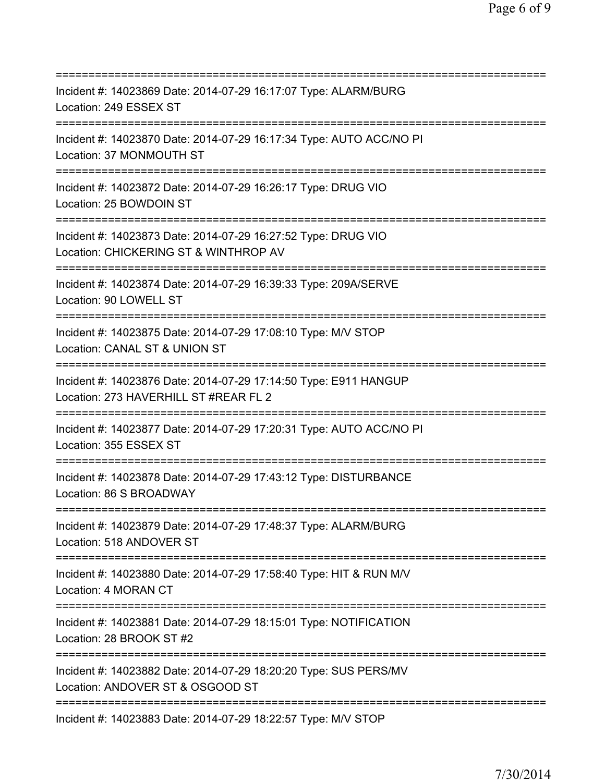| Incident #: 14023869 Date: 2014-07-29 16:17:07 Type: ALARM/BURG<br>Location: 249 ESSEX ST                                              |
|----------------------------------------------------------------------------------------------------------------------------------------|
| Incident #: 14023870 Date: 2014-07-29 16:17:34 Type: AUTO ACC/NO PI<br>Location: 37 MONMOUTH ST                                        |
| Incident #: 14023872 Date: 2014-07-29 16:26:17 Type: DRUG VIO<br>Location: 25 BOWDOIN ST                                               |
| Incident #: 14023873 Date: 2014-07-29 16:27:52 Type: DRUG VIO<br>Location: CHICKERING ST & WINTHROP AV<br>============================ |
| Incident #: 14023874 Date: 2014-07-29 16:39:33 Type: 209A/SERVE<br>Location: 90 LOWELL ST                                              |
| Incident #: 14023875 Date: 2014-07-29 17:08:10 Type: M/V STOP<br>Location: CANAL ST & UNION ST                                         |
| Incident #: 14023876 Date: 2014-07-29 17:14:50 Type: E911 HANGUP<br>Location: 273 HAVERHILL ST #REAR FL 2                              |
| Incident #: 14023877 Date: 2014-07-29 17:20:31 Type: AUTO ACC/NO PI<br>Location: 355 ESSEX ST                                          |
| Incident #: 14023878 Date: 2014-07-29 17:43:12 Type: DISTURBANCE<br>Location: 86 S BROADWAY                                            |
| Incident #: 14023879 Date: 2014-07-29 17:48:37 Type: ALARM/BURG<br>Location: 518 ANDOVER ST                                            |
| Incident #: 14023880 Date: 2014-07-29 17:58:40 Type: HIT & RUN M/V<br>Location: 4 MORAN CT                                             |
| Incident #: 14023881 Date: 2014-07-29 18:15:01 Type: NOTIFICATION<br>Location: 28 BROOK ST #2                                          |
| Incident #: 14023882 Date: 2014-07-29 18:20:20 Type: SUS PERS/MV<br>Location: ANDOVER ST & OSGOOD ST                                   |
| Incident #: 14023883 Date: 2014-07-29 18:22:57 Type: M/V STOP                                                                          |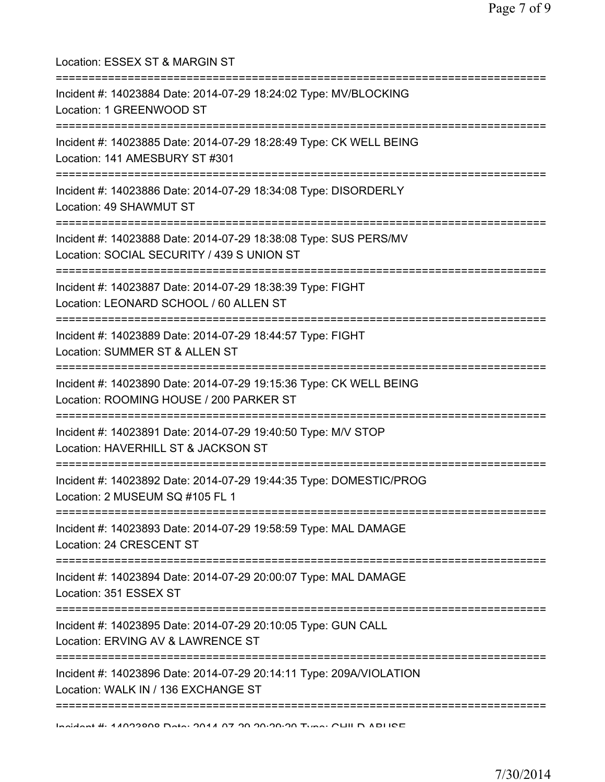| Location: ESSEX ST & MARGIN ST<br>===================================                                                                    |
|------------------------------------------------------------------------------------------------------------------------------------------|
| Incident #: 14023884 Date: 2014-07-29 18:24:02 Type: MV/BLOCKING<br>Location: 1 GREENWOOD ST                                             |
| Incident #: 14023885 Date: 2014-07-29 18:28:49 Type: CK WELL BEING<br>Location: 141 AMESBURY ST #301<br>;=============================== |
| Incident #: 14023886 Date: 2014-07-29 18:34:08 Type: DISORDERLY<br>Location: 49 SHAWMUT ST<br>--------------------------------           |
| Incident #: 14023888 Date: 2014-07-29 18:38:08 Type: SUS PERS/MV<br>Location: SOCIAL SECURITY / 439 S UNION ST                           |
| Incident #: 14023887 Date: 2014-07-29 18:38:39 Type: FIGHT<br>Location: LEONARD SCHOOL / 60 ALLEN ST                                     |
| Incident #: 14023889 Date: 2014-07-29 18:44:57 Type: FIGHT<br>Location: SUMMER ST & ALLEN ST<br>===========                              |
| Incident #: 14023890 Date: 2014-07-29 19:15:36 Type: CK WELL BEING<br>Location: ROOMING HOUSE / 200 PARKER ST                            |
| Incident #: 14023891 Date: 2014-07-29 19:40:50 Type: M/V STOP<br>Location: HAVERHILL ST & JACKSON ST<br>_______________________          |
| Incident #: 14023892 Date: 2014-07-29 19:44:35 Type: DOMESTIC/PROG<br>Location: 2 MUSEUM SQ #105 FL 1                                    |
| Incident #: 14023893 Date: 2014-07-29 19:58:59 Type: MAL DAMAGE<br>Location: 24 CRESCENT ST                                              |
| ======================================<br>Incident #: 14023894 Date: 2014-07-29 20:00:07 Type: MAL DAMAGE<br>Location: 351 ESSEX ST      |
| Incident #: 14023895 Date: 2014-07-29 20:10:05 Type: GUN CALL<br>Location: ERVING AV & LAWRENCE ST                                       |
| Incident #: 14023896 Date: 2014-07-29 20:14:11 Type: 209A/VIOLATION<br>Location: WALK IN / 136 EXCHANGE ST                               |
|                                                                                                                                          |

Incident #: 14023898 Date: 2014 07 29 20:29:20 Type: CHILD ABUSE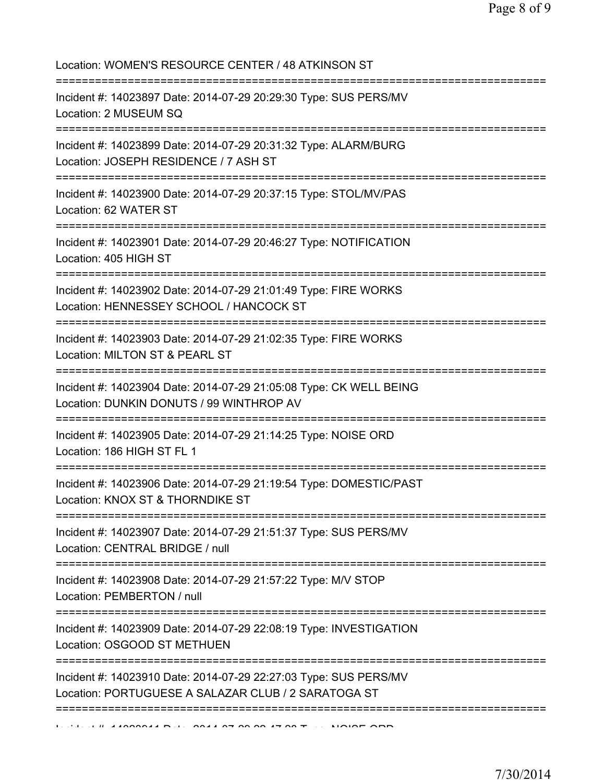| Location: WOMEN'S RESOURCE CENTER / 48 ATKINSON ST<br>:======================                                                      |
|------------------------------------------------------------------------------------------------------------------------------------|
| Incident #: 14023897 Date: 2014-07-29 20:29:30 Type: SUS PERS/MV<br>Location: 2 MUSEUM SQ                                          |
| Incident #: 14023899 Date: 2014-07-29 20:31:32 Type: ALARM/BURG<br>Location: JOSEPH RESIDENCE / 7 ASH ST                           |
| Incident #: 14023900 Date: 2014-07-29 20:37:15 Type: STOL/MV/PAS<br>Location: 62 WATER ST                                          |
| Incident #: 14023901 Date: 2014-07-29 20:46:27 Type: NOTIFICATION<br>Location: 405 HIGH ST<br>==================================== |
| Incident #: 14023902 Date: 2014-07-29 21:01:49 Type: FIRE WORKS<br>Location: HENNESSEY SCHOOL / HANCOCK ST                         |
| Incident #: 14023903 Date: 2014-07-29 21:02:35 Type: FIRE WORKS<br>Location: MILTON ST & PEARL ST                                  |
| Incident #: 14023904 Date: 2014-07-29 21:05:08 Type: CK WELL BEING<br>Location: DUNKIN DONUTS / 99 WINTHROP AV                     |
| Incident #: 14023905 Date: 2014-07-29 21:14:25 Type: NOISE ORD<br>Location: 186 HIGH ST FL 1                                       |
| Incident #: 14023906 Date: 2014-07-29 21:19:54 Type: DOMESTIC/PAST<br>Location: KNOX ST & THORNDIKE ST                             |
| Incident #: 14023907 Date: 2014-07-29 21:51:37 Type: SUS PERS/MV<br>Location: CENTRAL BRIDGE / null                                |
| Incident #: 14023908 Date: 2014-07-29 21:57:22 Type: M/V STOP<br>Location: PEMBERTON / null                                        |
| Incident #: 14023909 Date: 2014-07-29 22:08:19 Type: INVESTIGATION<br>Location: OSGOOD ST METHUEN                                  |
| Incident #: 14023910 Date: 2014-07-29 22:27:03 Type: SUS PERS/MV<br>Location: PORTUGUESE A SALAZAR CLUB / 2 SARATOGA ST            |
| $1.11.11$ $1.11.41000044$ $R_{11}$ $R_{21}$ $R_{31}$ $R_{42}$ $R_{51}$ $R_{61}$ $R_{71}$ $R_{81}$ $R_{91}$                         |